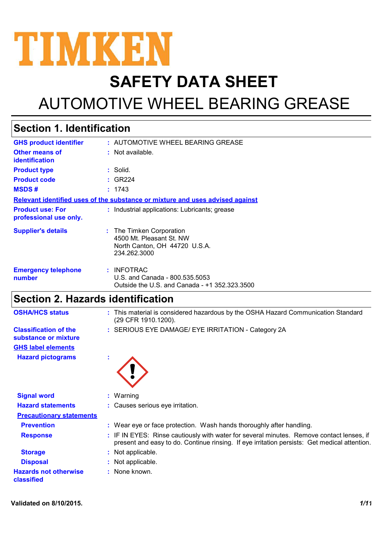

# **SAFETY DATA SHEET**

# AUTOMOTIVE WHEEL BEARING GREASE

### **Section 1. Identification**

| <b>GHS product identifier</b>                     | : AUTOMOTIVE WHEEL BEARING GREASE                                                                     |  |
|---------------------------------------------------|-------------------------------------------------------------------------------------------------------|--|
| Other means of<br>identification                  | $:$ Not available.                                                                                    |  |
| <b>Product type</b>                               | $:$ Solid.                                                                                            |  |
| <b>Product code</b>                               | : GR224                                                                                               |  |
| <b>MSDS#</b>                                      | : 1743                                                                                                |  |
|                                                   | Relevant identified uses of the substance or mixture and uses advised against                         |  |
| <b>Product use: For</b><br>professional use only. | : Industrial applications: Lubricants; grease                                                         |  |
| <b>Supplier's details</b>                         | : The Timken Corporation<br>4500 Mt. Pleasant St. NW<br>North Canton, OH 44720 U.S.A.<br>234.262.3000 |  |
| <b>Emergency telephone</b><br>number              | : INFOTRAC<br>U.S. and Canada - 800.535.5053<br>Outside the U.S. and Canada - +1 352.323.3500         |  |

## **Section 2. Hazards identification**

| <b>OSHA/HCS status</b>                               | : This material is considered hazardous by the OSHA Hazard Communication Standard<br>(29 CFR 1910.1200).                                                                                 |
|------------------------------------------------------|------------------------------------------------------------------------------------------------------------------------------------------------------------------------------------------|
| <b>Classification of the</b><br>substance or mixture | : SERIOUS EYE DAMAGE/ EYE IRRITATION - Category 2A                                                                                                                                       |
| <b>GHS label elements</b>                            |                                                                                                                                                                                          |
| <b>Hazard pictograms</b>                             | ×.                                                                                                                                                                                       |
| <b>Signal word</b>                                   | $:$ Warning                                                                                                                                                                              |
| <b>Hazard statements</b>                             | : Causes serious eye irritation.                                                                                                                                                         |
| <b>Precautionary statements</b>                      |                                                                                                                                                                                          |
| <b>Prevention</b>                                    | : Wear eye or face protection. Wash hands thoroughly after handling.                                                                                                                     |
| <b>Response</b>                                      | : IF IN EYES: Rinse cautiously with water for several minutes. Remove contact lenses, if<br>present and easy to do. Continue rinsing. If eye irritation persists: Get medical attention. |
| <b>Storage</b>                                       | : Not applicable.                                                                                                                                                                        |
| <b>Disposal</b>                                      | : Not applicable.                                                                                                                                                                        |
| <b>Hazards not otherwise</b><br><b>classified</b>    | : None known.                                                                                                                                                                            |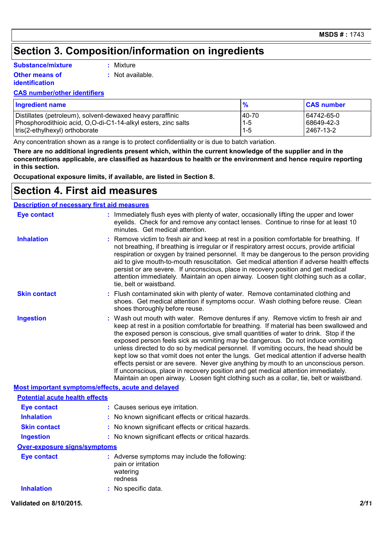## **Section 3. Composition/information on ingredients**

#### **Substance/mixture**

**Other means of identification**

**:** Mixture

**:** Not available.

#### **CAS number/other identifiers**

| <b>Ingredient name</b>                                        | $\frac{9}{6}$ | <b>CAS number</b> |
|---------------------------------------------------------------|---------------|-------------------|
| Distillates (petroleum), solvent-dewaxed heavy paraffinic     | 40-70         | 64742-65-0        |
| Phosphorodithioic acid, O,O-di-C1-14-alkyl esters, zinc salts | $1 - 5$       | 68649-42-3        |
| tris(2-ethylhexyl) orthoborate                                | $1 - 5$       | 2467-13-2         |

Any concentration shown as a range is to protect confidentiality or is due to batch variation.

**There are no additional ingredients present which, within the current knowledge of the supplier and in the concentrations applicable, are classified as hazardous to health or the environment and hence require reporting in this section.**

**Occupational exposure limits, if available, are listed in Section 8.**

### **Section 4. First aid measures**

#### **Description of necessary first aid measures**

| <b>Eye contact</b>                                 | minutes. Get medical attention.           | : Immediately flush eyes with plenty of water, occasionally lifting the upper and lower<br>eyelids. Check for and remove any contact lenses. Continue to rinse for at least 10                                                                                                                                                                                                                                                                                                                                                                                                                                                                                                                                                                                                                                            |
|----------------------------------------------------|-------------------------------------------|---------------------------------------------------------------------------------------------------------------------------------------------------------------------------------------------------------------------------------------------------------------------------------------------------------------------------------------------------------------------------------------------------------------------------------------------------------------------------------------------------------------------------------------------------------------------------------------------------------------------------------------------------------------------------------------------------------------------------------------------------------------------------------------------------------------------------|
| <b>Inhalation</b>                                  | tie, belt or waistband.                   | : Remove victim to fresh air and keep at rest in a position comfortable for breathing. If<br>not breathing, if breathing is irregular or if respiratory arrest occurs, provide artificial<br>respiration or oxygen by trained personnel. It may be dangerous to the person providing<br>aid to give mouth-to-mouth resuscitation. Get medical attention if adverse health effects<br>persist or are severe. If unconscious, place in recovery position and get medical<br>attention immediately. Maintain an open airway. Loosen tight clothing such as a collar,                                                                                                                                                                                                                                                         |
| <b>Skin contact</b>                                | shoes thoroughly before reuse.            | : Flush contaminated skin with plenty of water. Remove contaminated clothing and<br>shoes. Get medical attention if symptoms occur. Wash clothing before reuse. Clean                                                                                                                                                                                                                                                                                                                                                                                                                                                                                                                                                                                                                                                     |
| <b>Ingestion</b>                                   |                                           | : Wash out mouth with water. Remove dentures if any. Remove victim to fresh air and<br>keep at rest in a position comfortable for breathing. If material has been swallowed and<br>the exposed person is conscious, give small quantities of water to drink. Stop if the<br>exposed person feels sick as vomiting may be dangerous. Do not induce vomiting<br>unless directed to do so by medical personnel. If vomiting occurs, the head should be<br>kept low so that vomit does not enter the lungs. Get medical attention if adverse health<br>effects persist or are severe. Never give anything by mouth to an unconscious person.<br>If unconscious, place in recovery position and get medical attention immediately.<br>Maintain an open airway. Loosen tight clothing such as a collar, tie, belt or waistband. |
| Most important symptoms/effects, acute and delayed |                                           |                                                                                                                                                                                                                                                                                                                                                                                                                                                                                                                                                                                                                                                                                                                                                                                                                           |
| <b>Potential acute health effects</b>              |                                           |                                                                                                                                                                                                                                                                                                                                                                                                                                                                                                                                                                                                                                                                                                                                                                                                                           |
| <b>Eye contact</b>                                 | : Causes serious eye irritation.          |                                                                                                                                                                                                                                                                                                                                                                                                                                                                                                                                                                                                                                                                                                                                                                                                                           |
| <b>Inhalation</b>                                  |                                           | : No known significant effects or critical hazards.                                                                                                                                                                                                                                                                                                                                                                                                                                                                                                                                                                                                                                                                                                                                                                       |
| <b>Skin contact</b>                                |                                           | : No known significant effects or critical hazards.                                                                                                                                                                                                                                                                                                                                                                                                                                                                                                                                                                                                                                                                                                                                                                       |
| <b>Ingestion</b>                                   |                                           | : No known significant effects or critical hazards.                                                                                                                                                                                                                                                                                                                                                                                                                                                                                                                                                                                                                                                                                                                                                                       |
| <b>Over-exposure signs/symptoms</b>                |                                           |                                                                                                                                                                                                                                                                                                                                                                                                                                                                                                                                                                                                                                                                                                                                                                                                                           |
| <b>Eye contact</b>                                 | pain or irritation<br>watering<br>redness | : Adverse symptoms may include the following:                                                                                                                                                                                                                                                                                                                                                                                                                                                                                                                                                                                                                                                                                                                                                                             |
| <b>Inhalation</b>                                  | : No specific data.                       |                                                                                                                                                                                                                                                                                                                                                                                                                                                                                                                                                                                                                                                                                                                                                                                                                           |

#### **Validated on 8/10/2015.** *2/11*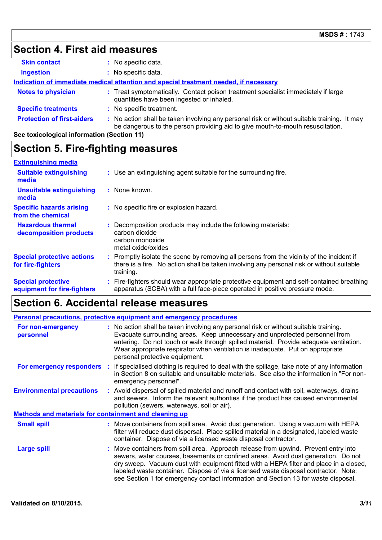# **Section 4. First aid measures**

| <b>Skin contact</b>                                                                  |  | : No specific data.                                                                                                                                                           |
|--------------------------------------------------------------------------------------|--|-------------------------------------------------------------------------------------------------------------------------------------------------------------------------------|
| <b>Ingestion</b>                                                                     |  | : No specific data.                                                                                                                                                           |
| Indication of immediate medical attention and special treatment needed, if necessary |  |                                                                                                                                                                               |
| <b>Notes to physician</b>                                                            |  | : Treat symptomatically. Contact poison treatment specialist immediately if large<br>quantities have been ingested or inhaled.                                                |
| <b>Specific treatments</b>                                                           |  | : No specific treatment.                                                                                                                                                      |
| <b>Protection of first-aiders</b>                                                    |  | : No action shall be taken involving any personal risk or without suitable training. It may<br>be dangerous to the person providing aid to give mouth-to-mouth resuscitation. |
| See toxicological information (Section 11)                                           |  |                                                                                                                                                                               |

# **Section 5. Fire-fighting measures**

| <b>Extinguishing media</b>                               |                                                                                                                                                                                                   |
|----------------------------------------------------------|---------------------------------------------------------------------------------------------------------------------------------------------------------------------------------------------------|
| <b>Suitable extinguishing</b><br>media                   | : Use an extinguishing agent suitable for the surrounding fire.                                                                                                                                   |
| <b>Unsuitable extinguishing</b><br>media                 | : None known.                                                                                                                                                                                     |
| <b>Specific hazards arising</b><br>from the chemical     | : No specific fire or explosion hazard.                                                                                                                                                           |
| <b>Hazardous thermal</b><br>decomposition products       | : Decomposition products may include the following materials:<br>carbon dioxide<br>carbon monoxide<br>metal oxide/oxides                                                                          |
| <b>Special protective actions</b><br>for fire-fighters   | Promptly isolate the scene by removing all persons from the vicinity of the incident if<br>there is a fire. No action shall be taken involving any personal risk or without suitable<br>training. |
| <b>Special protective</b><br>equipment for fire-fighters | : Fire-fighters should wear appropriate protective equipment and self-contained breathing<br>apparatus (SCBA) with a full face-piece operated in positive pressure mode.                          |

## **Section 6. Accidental release measures**

| <b>Personal precautions, protective equipment and emergency procedures</b> |  |                                                                                                                                                                                                                                                                                                                                                                                                                                                 |  |
|----------------------------------------------------------------------------|--|-------------------------------------------------------------------------------------------------------------------------------------------------------------------------------------------------------------------------------------------------------------------------------------------------------------------------------------------------------------------------------------------------------------------------------------------------|--|
| For non-emergency<br>personnel                                             |  | : No action shall be taken involving any personal risk or without suitable training.<br>Evacuate surrounding areas. Keep unnecessary and unprotected personnel from<br>entering. Do not touch or walk through spilled material. Provide adequate ventilation.<br>Wear appropriate respirator when ventilation is inadequate. Put on appropriate<br>personal protective equipment.                                                               |  |
|                                                                            |  | <b>For emergency responders</b> : If specialised clothing is required to deal with the spillage, take note of any information<br>in Section 8 on suitable and unsuitable materials. See also the information in "For non-<br>emergency personnel".                                                                                                                                                                                              |  |
| <b>Environmental precautions</b>                                           |  | : Avoid dispersal of spilled material and runoff and contact with soil, waterways, drains<br>and sewers. Inform the relevant authorities if the product has caused environmental<br>pollution (sewers, waterways, soil or air).                                                                                                                                                                                                                 |  |
| <b>Methods and materials for containment and cleaning up</b>               |  |                                                                                                                                                                                                                                                                                                                                                                                                                                                 |  |
| <b>Small spill</b>                                                         |  | : Move containers from spill area. Avoid dust generation. Using a vacuum with HEPA<br>filter will reduce dust dispersal. Place spilled material in a designated, labeled waste<br>container. Dispose of via a licensed waste disposal contractor.                                                                                                                                                                                               |  |
| <b>Large spill</b>                                                         |  | : Move containers from spill area. Approach release from upwind. Prevent entry into<br>sewers, water courses, basements or confined areas. Avoid dust generation. Do not<br>dry sweep. Vacuum dust with equipment fitted with a HEPA filter and place in a closed,<br>labeled waste container. Dispose of via a licensed waste disposal contractor. Note:<br>see Section 1 for emergency contact information and Section 13 for waste disposal. |  |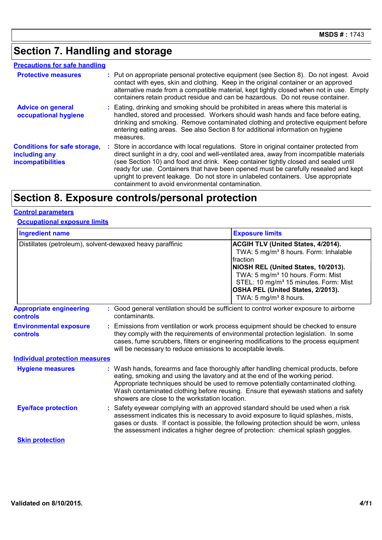# **Section 7. Handling and storage**

| <b>Protective measures</b>                                                       | : Put on appropriate personal protective equipment (see Section 8). Do not ingest. Avoid<br>contact with eyes, skin and clothing. Keep in the original container or an approved<br>alternative made from a compatible material, kept tightly closed when not in use. Empty<br>containers retain product residue and can be hazardous. Do not reuse container.                                                                                                                                                 |
|----------------------------------------------------------------------------------|---------------------------------------------------------------------------------------------------------------------------------------------------------------------------------------------------------------------------------------------------------------------------------------------------------------------------------------------------------------------------------------------------------------------------------------------------------------------------------------------------------------|
| <b>Advice on general</b><br>occupational hygiene                                 | : Eating, drinking and smoking should be prohibited in areas where this material is<br>handled, stored and processed. Workers should wash hands and face before eating,<br>drinking and smoking. Remove contaminated clothing and protective equipment before<br>entering eating areas. See also Section 8 for additional information on hygiene<br>measures.                                                                                                                                                 |
| <b>Conditions for safe storage,</b><br>including any<br><b>incompatibilities</b> | : Store in accordance with local regulations. Store in original container protected from<br>direct sunlight in a dry, cool and well-ventilated area, away from incompatible materials<br>(see Section 10) and food and drink. Keep container tightly closed and sealed until<br>ready for use. Containers that have been opened must be carefully resealed and kept<br>upright to prevent leakage. Do not store in unlabeled containers. Use appropriate<br>containment to avoid environmental contamination. |

# **Section 8. Exposure controls/personal protection**

| <b>Control parameters</b> |
|---------------------------|
|---------------------------|

#### **Occupational exposure limits**

| <b>Ingredient name</b>                                    |  |                                                                                                                                | <b>Exposure limits</b>                                                                                                                                                                                                                                                                                                                                |
|-----------------------------------------------------------|--|--------------------------------------------------------------------------------------------------------------------------------|-------------------------------------------------------------------------------------------------------------------------------------------------------------------------------------------------------------------------------------------------------------------------------------------------------------------------------------------------------|
| Distillates (petroleum), solvent-dewaxed heavy paraffinic |  |                                                                                                                                | ACGIH TLV (United States, 4/2014).<br>TWA: 5 mg/m <sup>3</sup> 8 hours. Form: Inhalable<br>fraction<br>NIOSH REL (United States, 10/2013).<br>TWA: 5 mg/m <sup>3</sup> 10 hours. Form: Mist<br>STEL: 10 mg/m <sup>3</sup> 15 minutes. Form: Mist<br>OSHA PEL (United States, 2/2013).<br>TWA: 5 mg/m <sup>3</sup> 8 hours.                            |
| <b>Appropriate engineering</b><br>controls                |  | contaminants.                                                                                                                  | : Good general ventilation should be sufficient to control worker exposure to airborne                                                                                                                                                                                                                                                                |
| <b>Environmental exposure</b><br>controls                 |  | will be necessary to reduce emissions to acceptable levels.                                                                    | : Emissions from ventilation or work process equipment should be checked to ensure<br>they comply with the requirements of environmental protection legislation. In some<br>cases, fume scrubbers, filters or engineering modifications to the process equipment                                                                                      |
| <b>Individual protection measures</b>                     |  |                                                                                                                                |                                                                                                                                                                                                                                                                                                                                                       |
| <b>Hygiene measures</b>                                   |  | eating, smoking and using the lavatory and at the end of the working period.<br>showers are close to the workstation location. | : Wash hands, forearms and face thoroughly after handling chemical products, before<br>Appropriate techniques should be used to remove potentially contaminated clothing.<br>Wash contaminated clothing before reusing. Ensure that eyewash stations and safety                                                                                       |
| <b>Eye/face protection</b>                                |  |                                                                                                                                | : Safety eyewear complying with an approved standard should be used when a risk<br>assessment indicates this is necessary to avoid exposure to liquid splashes, mists,<br>gases or dusts. If contact is possible, the following protection should be worn, unless<br>the assessment indicates a higher degree of protection: chemical splash goggles. |
| <b>Skin protection</b>                                    |  |                                                                                                                                |                                                                                                                                                                                                                                                                                                                                                       |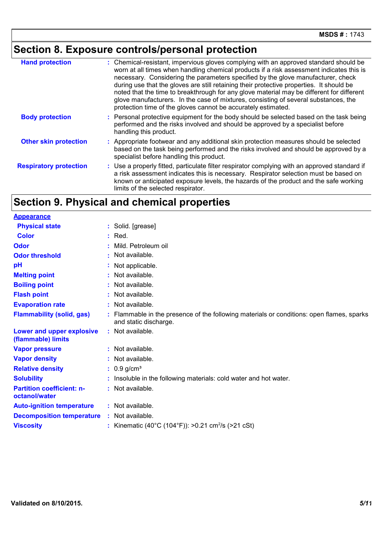# **Section 8. Exposure controls/personal protection**

| <b>Hand protection</b>        | : Chemical-resistant, impervious gloves complying with an approved standard should be<br>worn at all times when handling chemical products if a risk assessment indicates this is<br>necessary. Considering the parameters specified by the glove manufacturer, check<br>during use that the gloves are still retaining their protective properties. It should be<br>noted that the time to breakthrough for any glove material may be different for different<br>glove manufacturers. In the case of mixtures, consisting of several substances, the<br>protection time of the gloves cannot be accurately estimated. |
|-------------------------------|------------------------------------------------------------------------------------------------------------------------------------------------------------------------------------------------------------------------------------------------------------------------------------------------------------------------------------------------------------------------------------------------------------------------------------------------------------------------------------------------------------------------------------------------------------------------------------------------------------------------|
| <b>Body protection</b>        | : Personal protective equipment for the body should be selected based on the task being<br>performed and the risks involved and should be approved by a specialist before<br>handling this product.                                                                                                                                                                                                                                                                                                                                                                                                                    |
| <b>Other skin protection</b>  | : Appropriate footwear and any additional skin protection measures should be selected<br>based on the task being performed and the risks involved and should be approved by a<br>specialist before handling this product.                                                                                                                                                                                                                                                                                                                                                                                              |
| <b>Respiratory protection</b> | : Use a properly fitted, particulate filter respirator complying with an approved standard if<br>a risk assessment indicates this is necessary. Respirator selection must be based on<br>known or anticipated exposure levels, the hazards of the product and the safe working<br>limits of the selected respirator.                                                                                                                                                                                                                                                                                                   |

# **Section 9. Physical and chemical properties**

| <b>Appearance</b>                                 |                                                                                                                    |
|---------------------------------------------------|--------------------------------------------------------------------------------------------------------------------|
| <b>Physical state</b>                             | : Solid. [grease]                                                                                                  |
| <b>Color</b>                                      | $:$ Red.                                                                                                           |
| <b>Odor</b>                                       | Mild. Petroleum oil                                                                                                |
| <b>Odor threshold</b>                             | : Not available.                                                                                                   |
| pH                                                | : Not applicable.                                                                                                  |
| <b>Melting point</b>                              | : Not available.                                                                                                   |
| <b>Boiling point</b>                              | : Not available.                                                                                                   |
| <b>Flash point</b>                                | : Not available.                                                                                                   |
| <b>Evaporation rate</b>                           | : Not available.                                                                                                   |
| <b>Flammability (solid, gas)</b>                  | : Flammable in the presence of the following materials or conditions: open flames, sparks<br>and static discharge. |
| Lower and upper explosive<br>(flammable) limits   | : Not available.                                                                                                   |
| <b>Vapor pressure</b>                             | : Not available.                                                                                                   |
| <b>Vapor density</b>                              | : Not available.                                                                                                   |
| <b>Relative density</b>                           | $: 0.9$ g/cm <sup>3</sup>                                                                                          |
| <b>Solubility</b>                                 | : Insoluble in the following materials: cold water and hot water.                                                  |
| <b>Partition coefficient: n-</b><br>octanol/water | : Not available.                                                                                                   |
| <b>Auto-ignition temperature</b>                  | : Not available.                                                                                                   |
| <b>Decomposition temperature</b>                  | : Not available.                                                                                                   |
| <b>Viscosity</b>                                  | : Kinematic (40°C (104°F)): >0.21 cm <sup>2</sup> /s (>21 cSt)                                                     |
|                                                   |                                                                                                                    |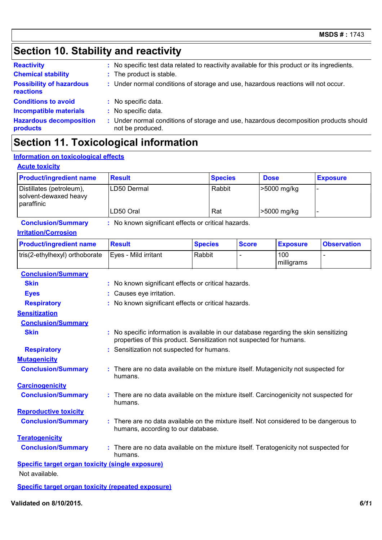# **Section 10. Stability and reactivity**

| <b>Reactivity</b>                            | : No specific test data related to reactivity available for this product or its ingredients.              |
|----------------------------------------------|-----------------------------------------------------------------------------------------------------------|
| <b>Chemical stability</b>                    | : The product is stable.                                                                                  |
| <b>Possibility of hazardous</b><br>reactions | : Under normal conditions of storage and use, hazardous reactions will not occur.                         |
| <b>Conditions to avoid</b>                   | : No specific data.                                                                                       |
| <b>Incompatible materials</b>                | No specific data.                                                                                         |
| <b>Hazardous decomposition</b><br>products   | : Under normal conditions of storage and use, hazardous decomposition products should<br>not be produced. |

# **Section 11. Toxicological information**

#### **Information on toxicological effects**

#### **Acute toxicity**

| <b>Product/ingredient name</b>                                  | <b>Result</b> | <b>Species</b> | <b>Dose</b> | <b>Exposure</b>          |
|-----------------------------------------------------------------|---------------|----------------|-------------|--------------------------|
| Distillates (petroleum),<br>solvent-dewaxed heavy<br>paraffinic | LD50 Dermal   | Rabbit         | >5000 mg/kg | $\overline{\phantom{0}}$ |
|                                                                 | LD50 Oral     | Rat            | >5000 mg/kg |                          |

**Conclusion/Summary :** No known significant effects or critical hazards.

#### **Irritation/Corrosion**

| <b>Product/ingredient name</b> | <b>Result</b>        | <b>Species</b> | <b>Score</b> | <b>Exposure</b>   | <b>Observation</b> |
|--------------------------------|----------------------|----------------|--------------|-------------------|--------------------|
| tris(2-ethylhexyl) orthoborate | Eves - Mild irritant | Rabbit         |              | 100<br>milligrams |                    |

| <b>Conclusion/Summary</b>    |                                                                                                                                                              |
|------------------------------|--------------------------------------------------------------------------------------------------------------------------------------------------------------|
| <b>Skin</b>                  | : No known significant effects or critical hazards.                                                                                                          |
| <b>Eyes</b>                  | : Causes eye irritation.                                                                                                                                     |
| <b>Respiratory</b>           | : No known significant effects or critical hazards.                                                                                                          |
| <b>Sensitization</b>         |                                                                                                                                                              |
| <b>Conclusion/Summary</b>    |                                                                                                                                                              |
| <b>Skin</b>                  | : No specific information is available in our database regarding the skin sensitizing<br>properties of this product. Sensitization not suspected for humans. |
| <b>Respiratory</b>           | : Sensitization not suspected for humans.                                                                                                                    |
| <b>Mutagenicity</b>          |                                                                                                                                                              |
| <b>Conclusion/Summary</b>    | : There are no data available on the mixture itself. Mutagenicity not suspected for<br>humans.                                                               |
| <b>Carcinogenicity</b>       |                                                                                                                                                              |
| <b>Conclusion/Summary</b>    | : There are no data available on the mixture itself. Carcinogenicity not suspected for<br>humans.                                                            |
| <b>Reproductive toxicity</b> |                                                                                                                                                              |
| <b>Conclusion/Summary</b>    | : There are no data available on the mixture itself. Not considered to be dangerous to<br>humans, according to our database.                                 |
| <b>Teratogenicity</b>        |                                                                                                                                                              |
| <b>Conclusion/Summary</b>    | : There are no data available on the mixture itself. Teratogenicity not suspected for<br>humans.                                                             |

**Specific target organ toxicity (single exposure)** Not available.

**Specific target organ toxicity (repeated exposure)**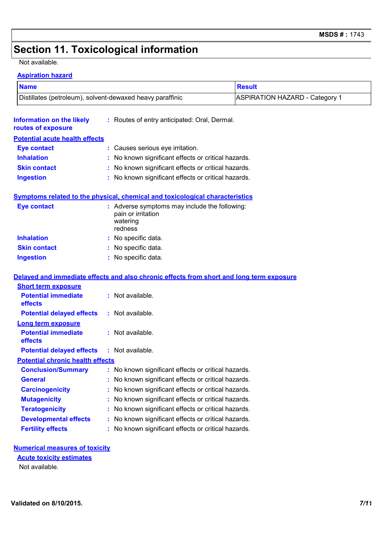## **Section 11. Toxicological information**

#### Not available.

#### **Aspiration hazard**

| - - <del>-</del> 10 -- <del>-- -</del> - <del>-</del> - - - - <del>-- - - -</del> |                                              |                                |  |  |
|-----------------------------------------------------------------------------------|----------------------------------------------|--------------------------------|--|--|
| <b>Name</b>                                                                       |                                              | <b>Result</b>                  |  |  |
| Distillates (petroleum), solvent-dewaxed heavy paraffinic                         |                                              | ASPIRATION HAZARD - Category 1 |  |  |
| Information on the likely<br>routes of exposure                                   | : Routes of entry anticipated: Oral, Dermal. |                                |  |  |

#### **Potential acute health effects**

| <b>Eye contact</b>  | : Causes serious eye irritation.                    |
|---------------------|-----------------------------------------------------|
| <b>Inhalation</b>   | : No known significant effects or critical hazards. |
| <b>Skin contact</b> | : No known significant effects or critical hazards. |
| <b>Ingestion</b>    | : No known significant effects or critical hazards. |

#### **Symptoms related to the physical, chemical and toxicological characteristics**

| <b>Eye contact</b>  | : Adverse symptoms may include the following:<br>pain or irritation<br>watering<br>redness |
|---------------------|--------------------------------------------------------------------------------------------|
| <b>Inhalation</b>   | : No specific data.                                                                        |
| <b>Skin contact</b> | : No specific data.                                                                        |
| <b>Ingestion</b>    | : No specific data.                                                                        |

#### **Delayed and immediate effects and also chronic effects from short and long term exposure**

| $:$ Not available.                                  |
|-----------------------------------------------------|
| $:$ Not available.                                  |
|                                                     |
| $:$ Not available.                                  |
| $:$ Not available.                                  |
| <b>Potential chronic health effects</b>             |
| : No known significant effects or critical hazards. |
| : No known significant effects or critical hazards. |
| : No known significant effects or critical hazards. |
| : No known significant effects or critical hazards. |
| : No known significant effects or critical hazards. |
| : No known significant effects or critical hazards. |
| : No known significant effects or critical hazards. |
|                                                     |

#### **Numerical measures of toxicity**

Not available. **Acute toxicity estimates**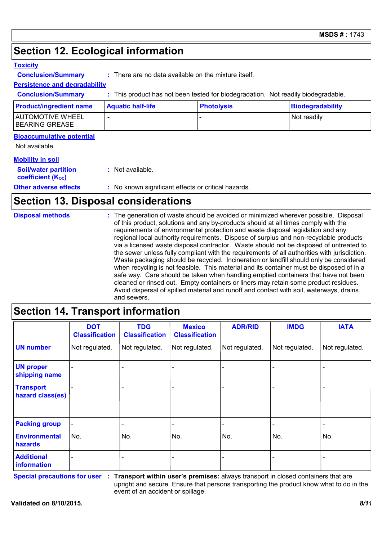## **Section 12. Ecological information**

#### **Toxicity**

**Conclusion/Summary :** There are no data available on the mixture itself.

### **Persistence and degradability**

**Conclusion/Summary :** This product has not been tested for biodegradation. Not readily biodegradable.

| <b>Product/ingredient name</b>      | <b>Aquatic half-life</b> | <b>Photolysis</b> | Biodegradability |
|-------------------------------------|--------------------------|-------------------|------------------|
| AUTOMOTIVE WHEEL<br> BEARING GREASE |                          |                   | Not readily      |

#### **Bioaccumulative potential**

Not available.

#### **Mobility in soil**

| <b>Soil/water partition</b><br><b>coefficient (Koc)</b> | : Not available.                                    |
|---------------------------------------------------------|-----------------------------------------------------|
| <b>Other adverse effects</b>                            | : No known significant effects or critical hazards. |

## **Section 13. Disposal considerations**

| <b>Disposal methods</b> | : The generation of waste should be avoided or minimized wherever possible. Disposal<br>of this product, solutions and any by-products should at all times comply with the<br>requirements of environmental protection and waste disposal legislation and any<br>regional local authority requirements. Dispose of surplus and non-recyclable products<br>via a licensed waste disposal contractor. Waste should not be disposed of untreated to<br>the sewer unless fully compliant with the requirements of all authorities with jurisdiction.<br>Waste packaging should be recycled. Incineration or landfill should only be considered<br>when recycling is not feasible. This material and its container must be disposed of in a<br>safe way. Care should be taken when handling emptied containers that have not been<br>cleaned or rinsed out. Empty containers or liners may retain some product residues.<br>Avoid dispersal of spilled material and runoff and contact with soil, waterways, drains<br>and sewers. |
|-------------------------|-------------------------------------------------------------------------------------------------------------------------------------------------------------------------------------------------------------------------------------------------------------------------------------------------------------------------------------------------------------------------------------------------------------------------------------------------------------------------------------------------------------------------------------------------------------------------------------------------------------------------------------------------------------------------------------------------------------------------------------------------------------------------------------------------------------------------------------------------------------------------------------------------------------------------------------------------------------------------------------------------------------------------------|
|-------------------------|-------------------------------------------------------------------------------------------------------------------------------------------------------------------------------------------------------------------------------------------------------------------------------------------------------------------------------------------------------------------------------------------------------------------------------------------------------------------------------------------------------------------------------------------------------------------------------------------------------------------------------------------------------------------------------------------------------------------------------------------------------------------------------------------------------------------------------------------------------------------------------------------------------------------------------------------------------------------------------------------------------------------------------|

#### - - - - - - - Not regulated. - - Not regulated. | Not regulated. | Not regulated. | Not regulated. | Not regulated. | N - - - **DOT Classification IMDG IATA UN number UN proper shipping name Transport hazard class(es) Packing group<br>Environmental<br>hazards<br>Additional information Environmental hazards** No. No. No. **TDG Classification** Not regulated. - - No. - **ADR/RID** Not regulated. Not regulated. - - N<sub>o</sub> - **Mexico Classification** - - No. -

**Section 14. Transport information**

**Special precautions for user**

**Transport within user's premises:** always transport in closed containers that are **:** upright and secure. Ensure that persons transporting the product know what to do in the event of an accident or spillage.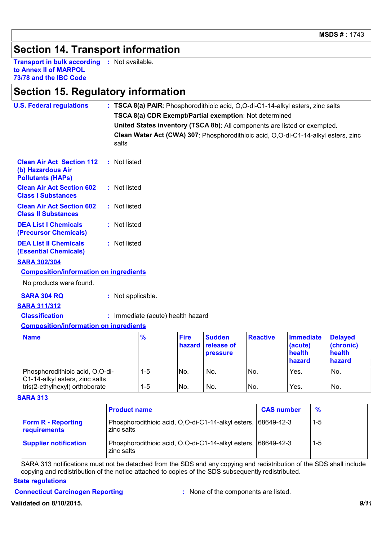## **Section 14. Transport information**

**Transport in bulk according :** Not available. **to Annex II of MARPOL 73/78 and the IBC Code**

### **Section 15. Regulatory information**

| <b>U.S. Federal regulations</b>                                                   |  |                                                                                             |               | : TSCA 8(a) PAIR: Phosphorodithioic acid, O,O-di-C1-14-alkyl esters, zinc salts<br>TSCA 8(a) CDR Exempt/Partial exemption: Not determined |                                         |                 |                                                 |                                                 |
|-----------------------------------------------------------------------------------|--|---------------------------------------------------------------------------------------------|---------------|-------------------------------------------------------------------------------------------------------------------------------------------|-----------------------------------------|-----------------|-------------------------------------------------|-------------------------------------------------|
|                                                                                   |  | United States inventory (TSCA 8b): All components are listed or exempted.                   |               |                                                                                                                                           |                                         |                 |                                                 |                                                 |
|                                                                                   |  | Clean Water Act (CWA) 307: Phosphorodithioic acid, O,O-di-C1-14-alkyl esters, zinc<br>salts |               |                                                                                                                                           |                                         |                 |                                                 |                                                 |
| <b>Clean Air Act Section 112</b><br>(b) Hazardous Air<br><b>Pollutants (HAPs)</b> |  | : Not listed                                                                                |               |                                                                                                                                           |                                         |                 |                                                 |                                                 |
| <b>Clean Air Act Section 602</b><br><b>Class I Substances</b>                     |  | : Not listed                                                                                |               |                                                                                                                                           |                                         |                 |                                                 |                                                 |
| <b>Clean Air Act Section 602</b><br><b>Class II Substances</b>                    |  | : Not listed                                                                                |               |                                                                                                                                           |                                         |                 |                                                 |                                                 |
| <b>DEA List I Chemicals</b><br>(Precursor Chemicals)                              |  | : Not listed                                                                                |               |                                                                                                                                           |                                         |                 |                                                 |                                                 |
| <b>DEA List II Chemicals</b><br><b>(Essential Chemicals)</b>                      |  | : Not listed                                                                                |               |                                                                                                                                           |                                         |                 |                                                 |                                                 |
| <b>SARA 302/304</b>                                                               |  |                                                                                             |               |                                                                                                                                           |                                         |                 |                                                 |                                                 |
| <b>Composition/information on ingredients</b>                                     |  |                                                                                             |               |                                                                                                                                           |                                         |                 |                                                 |                                                 |
| No products were found.                                                           |  |                                                                                             |               |                                                                                                                                           |                                         |                 |                                                 |                                                 |
| <b>SARA 304 RQ</b>                                                                |  | : Not applicable.                                                                           |               |                                                                                                                                           |                                         |                 |                                                 |                                                 |
| <b>SARA 311/312</b>                                                               |  |                                                                                             |               |                                                                                                                                           |                                         |                 |                                                 |                                                 |
| <b>Classification</b>                                                             |  |                                                                                             |               | : Immediate (acute) health hazard                                                                                                         |                                         |                 |                                                 |                                                 |
| <b>Composition/information on ingredients</b>                                     |  |                                                                                             |               |                                                                                                                                           |                                         |                 |                                                 |                                                 |
| <b>Name</b>                                                                       |  |                                                                                             | $\frac{9}{6}$ | <b>Fire</b><br>hazard                                                                                                                     | <b>Sudden</b><br>release of<br>pressure | <b>Reactive</b> | <b>Immediate</b><br>(acute)<br>health<br>hazard | <b>Delayed</b><br>(chronic)<br>health<br>hazard |
| Phosphorodithioic acid, O,O-di-<br>C1-14-alkyl esters, zinc salts                 |  |                                                                                             | $1-5$         | No.                                                                                                                                       | No.                                     | No.             | Yes.                                            | No.                                             |
| tris(2-ethylhexyl) orthoborate                                                    |  |                                                                                             | $1-5$         | No.                                                                                                                                       | No.                                     | No.             | Yes.                                            | No.                                             |

#### **SARA 313**

|                                           | <b>Product name</b>                                                         | <b>CAS number</b> | $\frac{9}{6}$ |
|-------------------------------------------|-----------------------------------------------------------------------------|-------------------|---------------|
| <b>Form R - Reporting</b><br>requirements | Phosphorodithioic acid, O,O-di-C1-14-alkyl esters, 68649-42-3<br>zinc salts |                   | $1-5$         |
| <b>Supplier notification</b>              | Phosphorodithioic acid, O,O-di-C1-14-alkyl esters, 68649-42-3<br>zinc salts |                   | 1-5           |

SARA 313 notifications must not be detached from the SDS and any copying and redistribution of the SDS shall include copying and redistribution of the notice attached to copies of the SDS subsequently redistributed.

#### **State regulations**

#### **Connecticut Carcinogen Reporting <b>Example 2 :** None of the components are listed.

**Validated on 8/10/2015.** *9/11*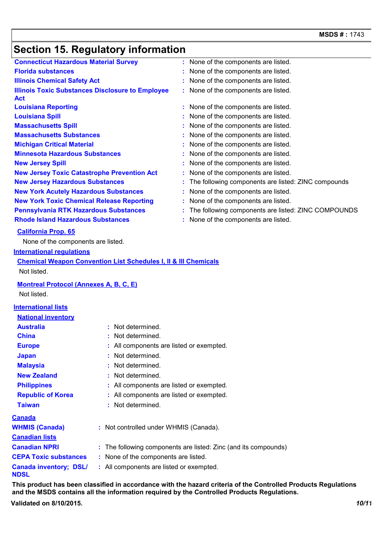# **Section 15. Regulatory information**

| <b>Connecticut Hazardous Material Survey</b>                               | : None of the components are listed.                  |
|----------------------------------------------------------------------------|-------------------------------------------------------|
| <b>Florida substances</b>                                                  | None of the components are listed.                    |
| <b>Illinois Chemical Safety Act</b>                                        | None of the components are listed.                    |
| <b>Illinois Toxic Substances Disclosure to Employee</b><br><b>Act</b>      | : None of the components are listed.                  |
| <b>Louisiana Reporting</b>                                                 | : None of the components are listed.                  |
| <b>Louisiana Spill</b>                                                     | : None of the components are listed.                  |
| <b>Massachusetts Spill</b>                                                 | : None of the components are listed.                  |
| <b>Massachusetts Substances</b>                                            | None of the components are listed.                    |
| <b>Michigan Critical Material</b>                                          | : None of the components are listed.                  |
| <b>Minnesota Hazardous Substances</b>                                      | : None of the components are listed.                  |
| <b>New Jersey Spill</b>                                                    | None of the components are listed.                    |
| <b>New Jersey Toxic Catastrophe Prevention Act</b>                         | : None of the components are listed.                  |
| <b>New Jersey Hazardous Substances</b>                                     | : The following components are listed: ZINC compounds |
| <b>New York Acutely Hazardous Substances</b>                               | None of the components are listed.                    |
| <b>New York Toxic Chemical Release Reporting</b>                           | : None of the components are listed.                  |
| <b>Pennsylvania RTK Hazardous Substances</b>                               | : The following components are listed: ZINC COMPOUNDS |
| <b>Rhode Island Hazardous Substances</b>                                   | : None of the components are listed.                  |
| <b>California Prop. 65</b>                                                 |                                                       |
| None of the components are listed.                                         |                                                       |
| <b>International regulations</b>                                           |                                                       |
| <b>Chemical Weapon Convention List Schedules I, II &amp; III Chemicals</b> |                                                       |
| Not listed.                                                                |                                                       |
| <b>Montreal Protocol (Annexes A, B, C, E)</b>                              |                                                       |
| Not listed.                                                                |                                                       |
| <b>International lists</b>                                                 |                                                       |
| <b>National inventory</b>                                                  |                                                       |

| <b>Australia</b>                      | : Not determined.                                               |
|---------------------------------------|-----------------------------------------------------------------|
| <b>China</b>                          | : Not determined.                                               |
| <b>Europe</b>                         | : All components are listed or exempted.                        |
| <b>Japan</b>                          | : Not determined.                                               |
| <b>Malaysia</b>                       | : Not determined.                                               |
| <b>New Zealand</b>                    | : Not determined.                                               |
| <b>Philippines</b>                    | : All components are listed or exempted.                        |
| <b>Republic of Korea</b>              | : All components are listed or exempted.                        |
| <b>Taiwan</b>                         | : Not determined.                                               |
| <u>Canada</u>                         |                                                                 |
| <b>WHMIS (Canada)</b>                 | : Not controlled under WHMIS (Canada).                          |
| <b>Canadian lists</b>                 |                                                                 |
| <b>Canadian NPRI</b>                  | : The following components are listed: Zinc (and its compounds) |
| <b>CEPA Toxic substances</b>          | : None of the components are listed.                            |
| <b>Canada inventory; DSL/</b><br>NDSL | : All components are listed or exempted.                        |

**This product has been classified in accordance with the hazard criteria of the Controlled Products Regulations and the MSDS contains all the information required by the Controlled Products Regulations. Validated on 8/10/2015.** *10/11*